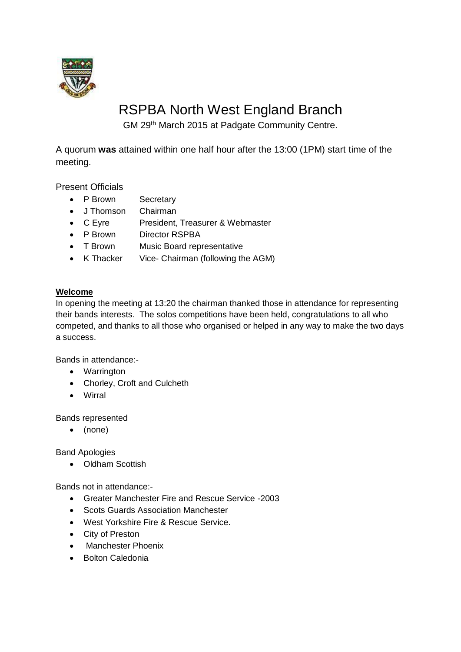

# RSPBA North West England Branch

GM 29th March 2015 at Padgate Community Centre.

A quorum **was** attained within one half hour after the 13:00 (1PM) start time of the meeting.

Present Officials

- P Brown Secretary
- J Thomson Chairman
- C Eyre President, Treasurer & Webmaster
- P Brown Director RSPBA
- T Brown Music Board representative
- K Thacker Vice- Chairman (following the AGM)

# **Welcome**

In opening the meeting at 13:20 the chairman thanked those in attendance for representing their bands interests. The solos competitions have been held, congratulations to all who competed, and thanks to all those who organised or helped in any way to make the two days a success.

Bands in attendance:-

- Warrington
- Chorley, Croft and Culcheth
- Wirral

Bands represented

(none)

Band Apologies

• Oldham Scottish

Bands not in attendance:-

- Greater Manchester Fire and Rescue Service -2003
- Scots Guards Association Manchester
- West Yorkshire Fire & Rescue Service.
- City of Preston
- Manchester Phoenix
- Bolton Caledonia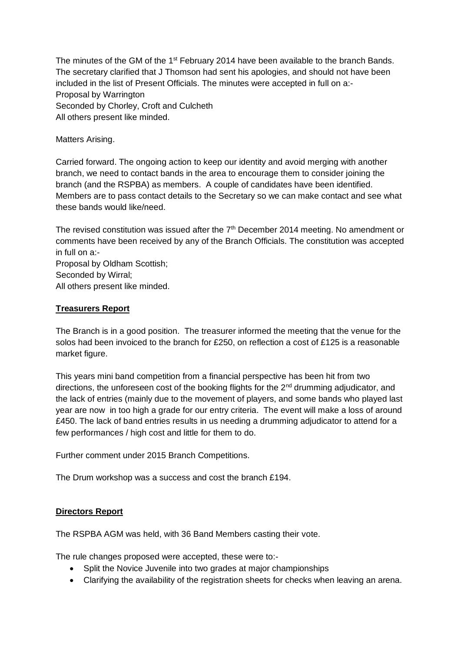The minutes of the GM of the 1<sup>st</sup> February 2014 have been available to the branch Bands. The secretary clarified that J Thomson had sent his apologies, and should not have been included in the list of Present Officials. The minutes were accepted in full on a:- Proposal by Warrington Seconded by Chorley, Croft and Culcheth All others present like minded.

Matters Arising.

Carried forward. The ongoing action to keep our identity and avoid merging with another branch, we need to contact bands in the area to encourage them to consider joining the branch (and the RSPBA) as members. A couple of candidates have been identified. Members are to pass contact details to the Secretary so we can make contact and see what these bands would like/need.

The revised constitution was issued after the 7<sup>th</sup> December 2014 meeting. No amendment or comments have been received by any of the Branch Officials. The constitution was accepted in full on a:-

Proposal by Oldham Scottish; Seconded by Wirral; All others present like minded.

### **Treasurers Report**

The Branch is in a good position. The treasurer informed the meeting that the venue for the solos had been invoiced to the branch for £250, on reflection a cost of £125 is a reasonable market figure.

This years mini band competition from a financial perspective has been hit from two directions, the unforeseen cost of the booking flights for the 2<sup>nd</sup> drumming adjudicator, and the lack of entries (mainly due to the movement of players, and some bands who played last year are now in too high a grade for our entry criteria. The event will make a loss of around £450. The lack of band entries results in us needing a drumming adjudicator to attend for a few performances / high cost and little for them to do.

Further comment under 2015 Branch Competitions.

The Drum workshop was a success and cost the branch £194.

#### **Directors Report**

The RSPBA AGM was held, with 36 Band Members casting their vote.

The rule changes proposed were accepted, these were to:-

- Split the Novice Juvenile into two grades at major championships
- Clarifying the availability of the registration sheets for checks when leaving an arena.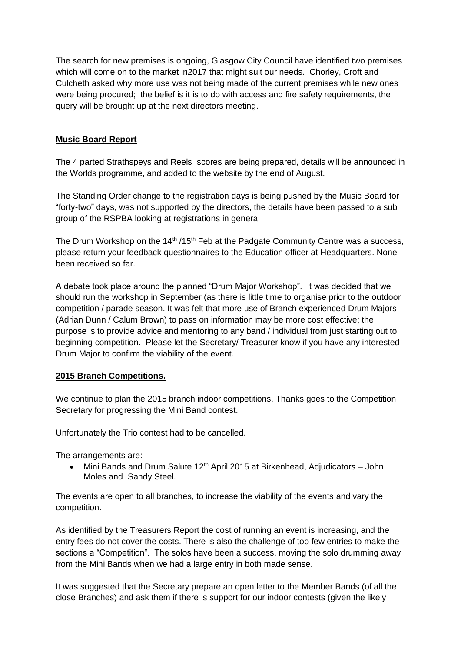The search for new premises is ongoing, Glasgow City Council have identified two premises which will come on to the market in2017 that might suit our needs. Chorley, Croft and Culcheth asked why more use was not being made of the current premises while new ones were being procured; the belief is it is to do with access and fire safety requirements, the query will be brought up at the next directors meeting.

## **Music Board Report**

The 4 parted Strathspeys and Reels scores are being prepared, details will be announced in the Worlds programme, and added to the website by the end of August.

The Standing Order change to the registration days is being pushed by the Music Board for "forty-two" days, was not supported by the directors, the details have been passed to a sub group of the RSPBA looking at registrations in general

The Drum Workshop on the  $14<sup>th</sup> / 15<sup>th</sup>$  Feb at the Padgate Community Centre was a success, please return your feedback questionnaires to the Education officer at Headquarters. None been received so far.

A debate took place around the planned "Drum Major Workshop". It was decided that we should run the workshop in September (as there is little time to organise prior to the outdoor competition / parade season. It was felt that more use of Branch experienced Drum Majors (Adrian Dunn / Calum Brown) to pass on information may be more cost effective; the purpose is to provide advice and mentoring to any band / individual from just starting out to beginning competition. Please let the Secretary/ Treasurer know if you have any interested Drum Major to confirm the viability of the event.

#### **2015 Branch Competitions.**

We continue to plan the 2015 branch indoor competitions. Thanks goes to the Competition Secretary for progressing the Mini Band contest.

Unfortunately the Trio contest had to be cancelled.

The arrangements are:

• Mini Bands and Drum Salute  $12<sup>th</sup>$  April 2015 at Birkenhead, Adjudicators – John Moles and Sandy Steel.

The events are open to all branches, to increase the viability of the events and vary the competition.

As identified by the Treasurers Report the cost of running an event is increasing, and the entry fees do not cover the costs. There is also the challenge of too few entries to make the sections a "Competition". The solos have been a success, moving the solo drumming away from the Mini Bands when we had a large entry in both made sense.

It was suggested that the Secretary prepare an open letter to the Member Bands (of all the close Branches) and ask them if there is support for our indoor contests (given the likely